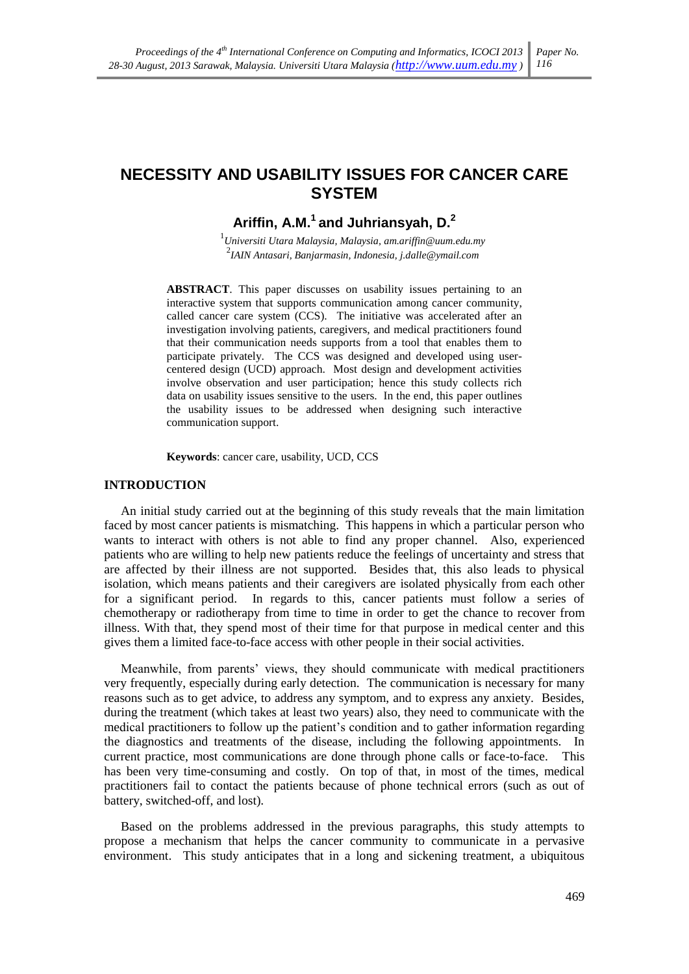## **NECESSITY AND USABILITY ISSUES FOR CANCER CARE SYSTEM**

# Ariffin. A.M.<sup>1</sup> and Juhriansvah. D.<sup>2</sup>

 $1$ Universiti Utara Malaysia, Malaysia, am.ariffin@uum.edu.my  $2$ IAIN Antasari, Banjarmasin, Indonesia, j.dalle@ymail.com

**ABSTRACT**. This paper discusses on usability issues pertaining to an interactive system that supports communication among cancer community, called cancer care system (CCS). The initiative was accelerated after an investigation involving patients, caregivers, and medical practitioners found that their communication needs supports from a tool that enables them to participate privately. The CCS was designed and developed using usercentered design (UCD) approach. Most design and development activities involve observation and user participation; hence this study collects rich data on usability issues sensitive to the users. In the end, this paper outlines the usability issues to be addressed when designing such interactive communication support.

Keywords: cancer care, usability, UCD, CCS

#### **INTRODUCTION**

An initial study carried out at the beginning of this study reveals that the main limitation faced by most cancer patients is mismatching. This happens in which a particular person who wants to interact with others is not able to find any proper channel. Also, experienced patients who are willing to help new patients reduce the feelings of uncertainty and stress that are affected by their illness are not supported. Besides that, this also leads to physical isolation, which means patients and their caregivers are isolated physically from each other for a significant period. In regards to this, cancer patients must follow a series of chemotherapy or radiotherapy from time to time in order to get the chance to recover from illness. With that, they spend most of their time for that purpose in medical center and this gives them a limited face-to-face access with other people in their social activities.

Meanwhile, from parents' views, they should communicate with medical practitioners very frequently, especially during early detection. The communication is necessary for many reasons such as to get advice, to address any symptom, and to express any anxiety. Besides, during the treatment (which takes at least two years) also, they need to communicate with the medical practitioners to follow up the patient's condition and to gather information regarding the diagnostics and treatments of the disease, including the following appointments. In current practice, most communications are done through phone calls or face-to-face. This has been very time-consuming and costly. On top of that, in most of the times, medical practitioners fail to contact the patients because of phone technical errors (such as out of battery, switched-off, and lost).

Based on the problems addressed in the previous paragraphs, this study attempts to propose a mechanism that helps the cancer community to communicate in a pervasive environment. This study anticipates that in a long and sickening treatment, a ubiquitous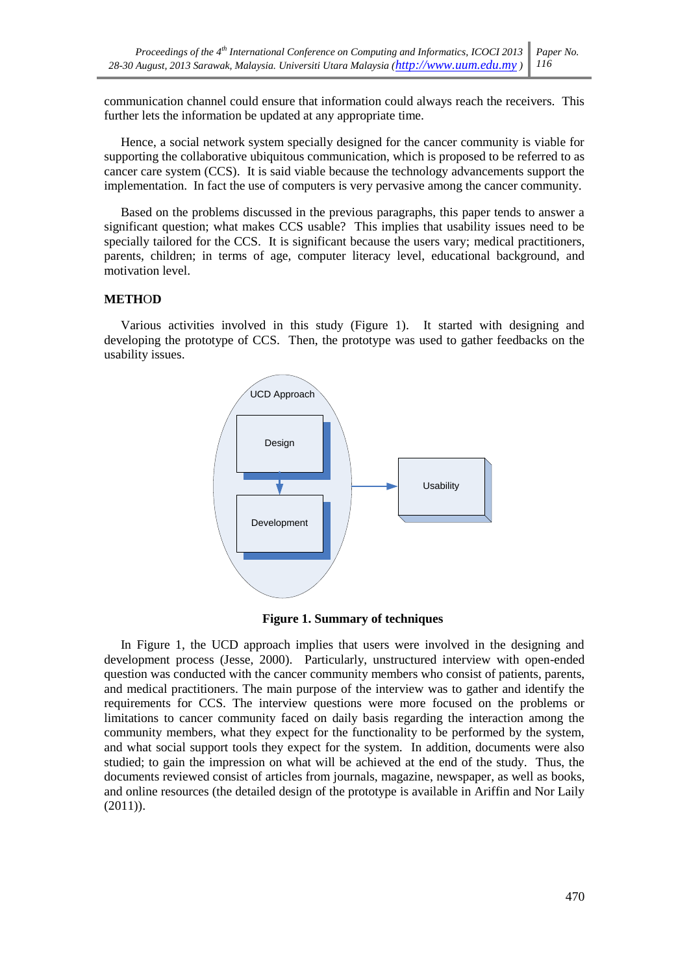communication channel could ensure that information could always reach the receivers. This further lets the information be updated at any appropriate time.

Hence, a social network system specially designed for the cancer community is viable for supporting the collaborative ubiquitous communication, which is proposed to be referred to as cancer care system (CCS). It is said viable because the technology advancements support the implementation. In fact the use of computers is very pervasive among the cancer community.

Based on the problems discussed in the previous paragraphs, this paper tends to answer a significant question; what makes CCS usable? This implies that usability issues need to be specially tailored for the CCS. It is significant because the users vary; medical practitioners, parents, children; in terms of age, computer literacy level, educational background, and motivation level.

## **METHOD**

Various activities involved in this study (Figure 1). It started with designing and developing the prototype of CCS. Then, the prototype was used to gather feedbacks on the usability issues.



**Figure 1. Summary of techniques** 

In Figure 1, the UCD approach implies that users were involved in the designing and development process (Jesse, 2000). Particularly, unstructured interview with open-ended question was conducted with the cancer community members who consist of patients, parents, and medical practitioners. The main purpose of the interview was to gather and identify the requirements for CCS. The interview questions were more focused on the problems or limitations to cancer community faced on daily basis regarding the interaction among the community members, what they expect for the functionality to be performed by the system, and what social support tools they expect for the system. In addition, documents were also studied; to gain the impression on what will be achieved at the end of the study. Thus, the documents reviewed consist of articles from journals, magazine, newspaper, as well as books, and online resources (the detailed design of the prototype is available in Ariffin and Nor Laily  $(2011)$ ).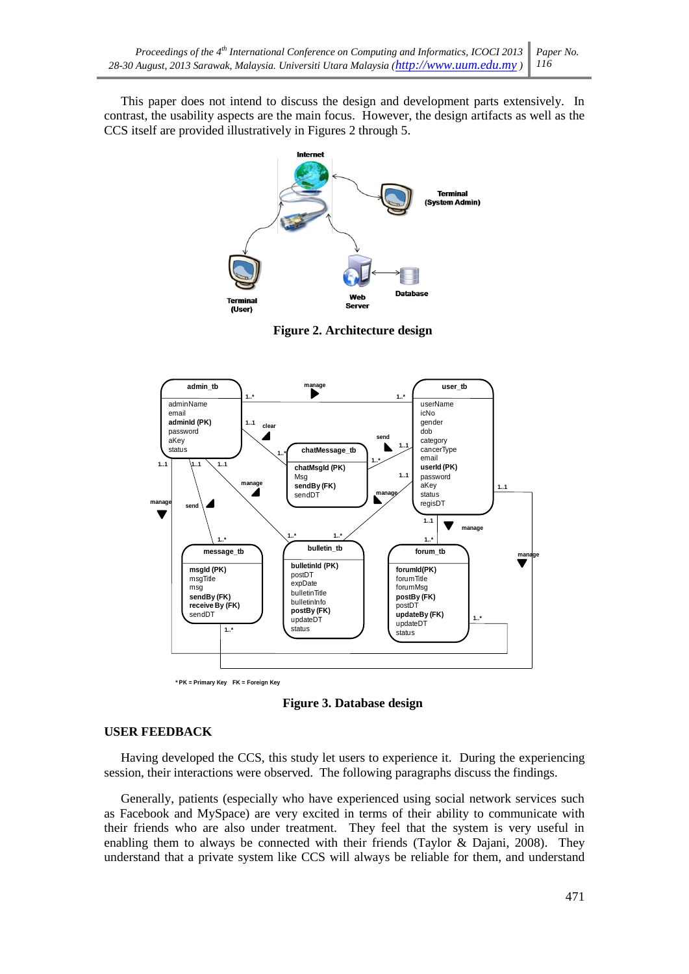This paper does not intend to discuss the design and development parts extensively. In contrast, the usability aspects are the main focus. However, the design artifacts as well as the CCS itself are provided illustratively in Figures 2 through 5.



**Figure 2. Architecture design** 



\* PK = Primary Key FK = Foreign Key

**Figure 3. Database design** 

## **USER FEEDBACK**

Having developed the CCS, this study let users to experience it. During the experiencing session, their interactions were observed. The following paragraphs discuss the findings.

Generally, patients (especially who have experienced using social network services such as Facebook and MySpace) are very excited in terms of their ability to communicate with their friends who are also under treatment. They feel that the system is very useful in enabling them to always be connected with their friends (Taylor & Dajani, 2008). They understand that a private system like CCS will always be reliable for them, and understand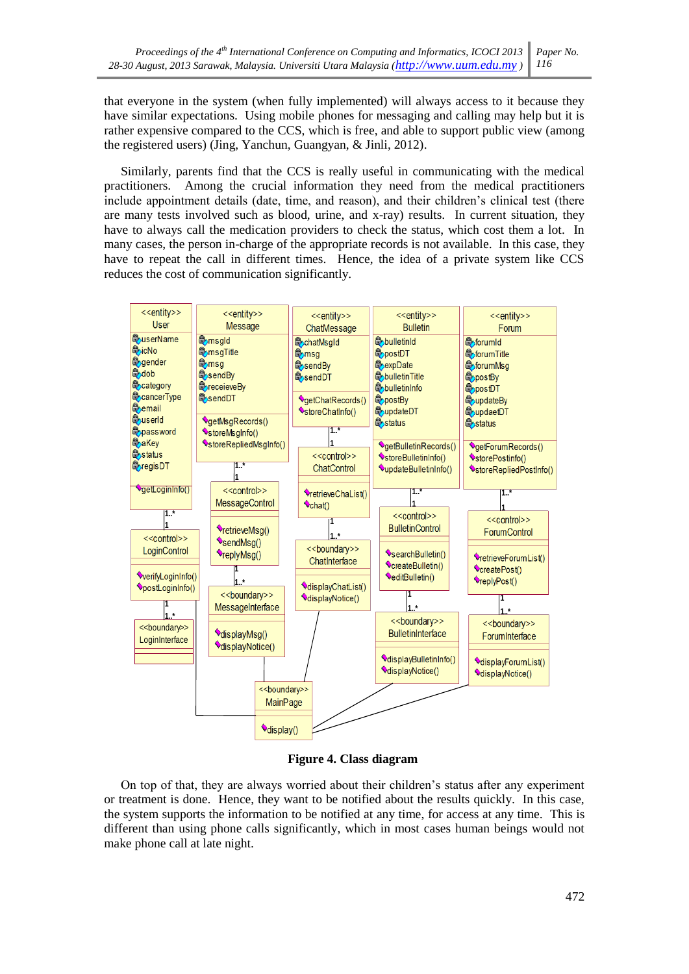that everyone in the system (when fully implemented) will always access to it because they have similar expectations. Using mobile phones for messaging and calling may help but it is rather expensive compared to the CCS, which is free, and able to support public view (among the registered users) (Jing, Yanchun, Guangyan, & Jinli, 2012).

Similarly, parents find that the CCS is really useful in communicating with the medical practitioners. Among the crucial information they need from the medical practitioners include appointment details (date, time, and reason), and their children's clinical test (there are many tests involved such as blood, urine, and x-ray) results. In current situation, they have to always call the medication providers to check the status, which cost them a lot. In many cases, the person in-charge of the appropriate records is not available. In this case, they have to repeat the call in different times. Hence, the idea of a private system like CCS reduces the cost of communication significantly.



**Figure 4. Class diagram** 

On top of that, they are always worried about their children's status after any experiment or treatment is done. Hence, they want to be notified about the results quickly. In this case, the system supports the information to be notified at any time, for access at any time. This is different than using phone calls significantly, which in most cases human beings would not make phone call at late night.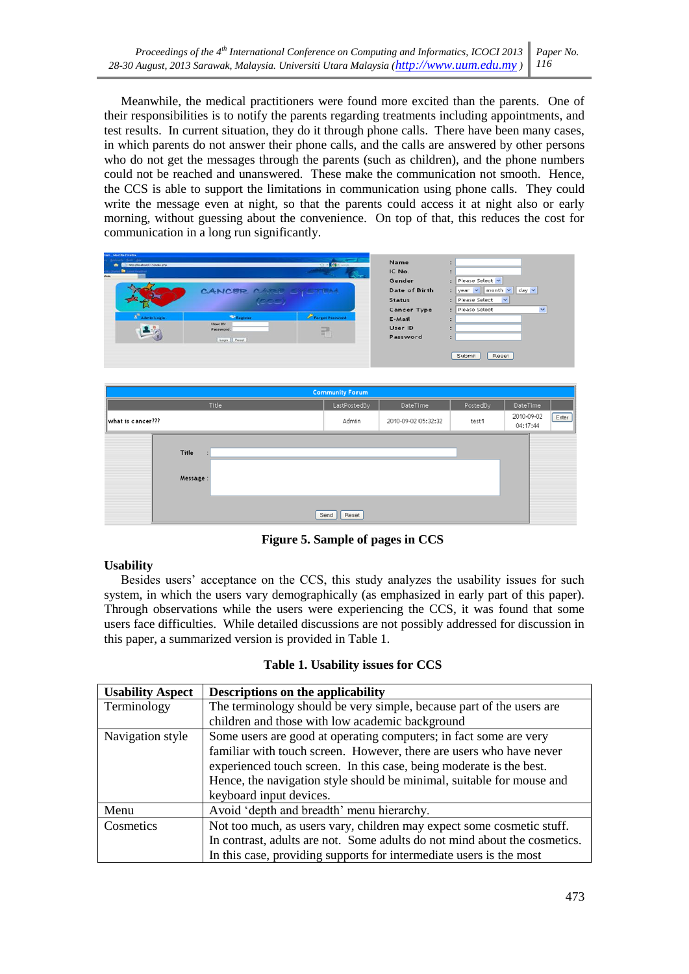Meanwhile, the medical practitioners were found more excited than the parents. One of their responsibilities is to notify the parents regarding treatments including appointments, and test results. In current situation, they do it through phone calls. There have been many cases, in which parents do not answer their phone calls, and the calls are answered by other persons who do not get the messages through the parents (such as children), and the phone numbers could not be reached and unanswered. These make the communication not smooth. Hence, the CCS is able to support the limitations in communication using phone calls. They could write the message even at night, so that the parents could access it at night also or early morning, without guessing about the convenience. On top of that, this reduces the cost for communication in a long run significantly.



Figure 5. Sample of pages in CCS

## **Usability**

Besides users' acceptance on the CCS, this study analyzes the usability issues for such system, in which the users vary demographically (as emphasized in early part of this paper). Through observations while the users were experiencing the CCS, it was found that some users face difficulties. While detailed discussions are not possibly addressed for discussion in this paper, a summarized version is provided in Table 1.

| <b>Usability Aspect</b> | Descriptions on the applicability                                         |
|-------------------------|---------------------------------------------------------------------------|
| Terminology             | The terminology should be very simple, because part of the users are      |
|                         | children and those with low academic background                           |
| Navigation style        | Some users are good at operating computers; in fact some are very         |
|                         | familiar with touch screen. However, there are users who have never       |
|                         | experienced touch screen. In this case, being moderate is the best.       |
|                         | Hence, the navigation style should be minimal, suitable for mouse and     |
|                         | keyboard input devices.                                                   |
| Menu                    | Avoid 'depth and breadth' menu hierarchy.                                 |
| Cosmetics               | Not too much, as users vary, children may expect some cosmetic stuff.     |
|                         | In contrast, adults are not. Some adults do not mind about the cosmetics. |
|                         | In this case, providing supports for intermediate users is the most       |